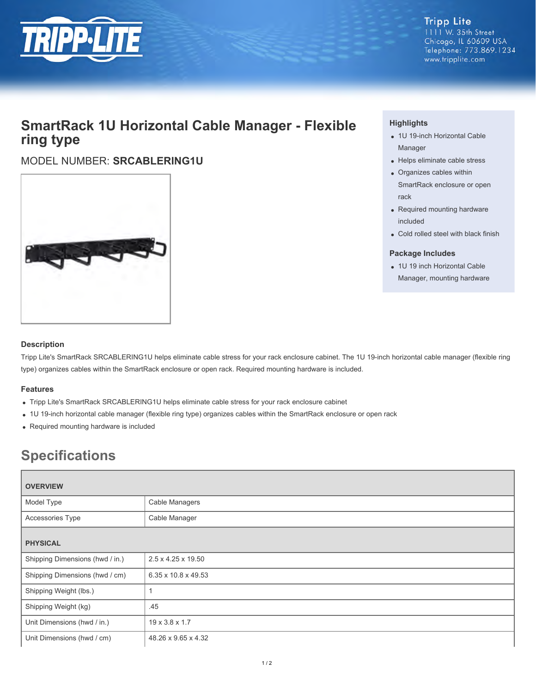

**Tripp Lite** 1111 W. 35th Street Chicago, IL 60609 USA Telephone: 773.869.1234 www.tripplite.com

## **SmartRack 1U Horizontal Cable Manager - Flexible ring type**

## MODEL NUMBER: **SRCABLERING1U**



### **Highlights**

- 1U 19-inch Horizontal Cable Manager
- Helps eliminate cable stress
- Organizes cables within SmartRack enclosure or open rack
- Required mounting hardware included
- Cold rolled steel with black finish

#### **Package Includes**

• 1U 19 inch Horizontal Cable Manager, mounting hardware

#### **Description**

Tripp Lite's SmartRack SRCABLERING1U helps eliminate cable stress for your rack enclosure cabinet. The 1U 19-inch horizontal cable manager (flexible ring type) organizes cables within the SmartRack enclosure or open rack. Required mounting hardware is included.

#### **Features**

- Tripp Lite's SmartRack SRCABLERING1U helps eliminate cable stress for your rack enclosure cabinet
- 1U 19-inch horizontal cable manager (flexible ring type) organizes cables within the SmartRack enclosure or open rack
- Required mounting hardware is included

# **Specifications**

| <b>OVERVIEW</b>                 |                     |
|---------------------------------|---------------------|
| Model Type                      | Cable Managers      |
| Accessories Type                | Cable Manager       |
| <b>PHYSICAL</b>                 |                     |
| Shipping Dimensions (hwd / in.) | 2.5 x 4.25 x 19.50  |
| Shipping Dimensions (hwd / cm)  | 6.35 x 10.8 x 49.53 |
| Shipping Weight (lbs.)          |                     |
| Shipping Weight (kg)            | .45                 |
| Unit Dimensions (hwd / in.)     | 19 x 3.8 x 1.7      |
| Unit Dimensions (hwd / cm)      | 48.26 x 9.65 x 4.32 |